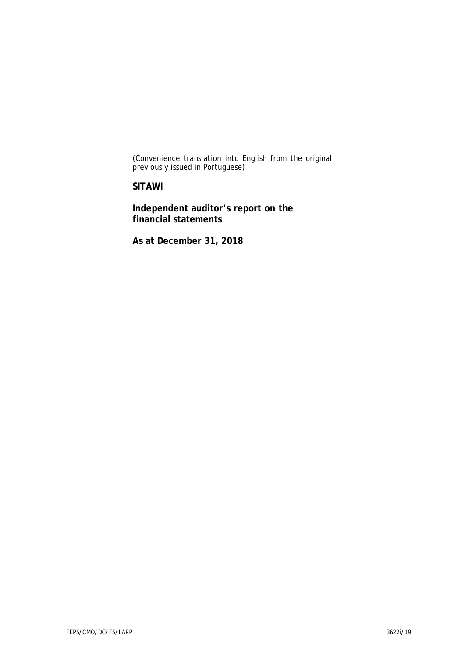(Convenience translation into English from the original previously issued in Portuguese)

**SITAWI**

**Independent auditor's report on the financial statements**

**As at December 31, 2018**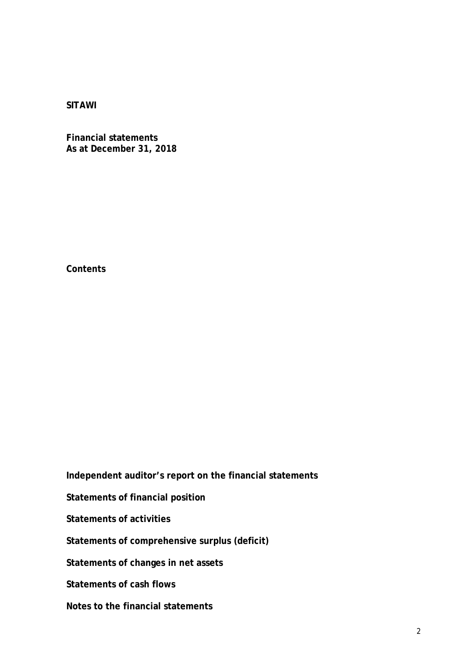**Financial statements As at December 31, 2018**

**Contents**

**Independent auditor's report on the financial statements**

**Statements of financial position**

**Statements of activities**

**Statements of comprehensive surplus (deficit)**

**Statements of changes in net assets**

**Statements of cash flows**

**Notes to the financial statements**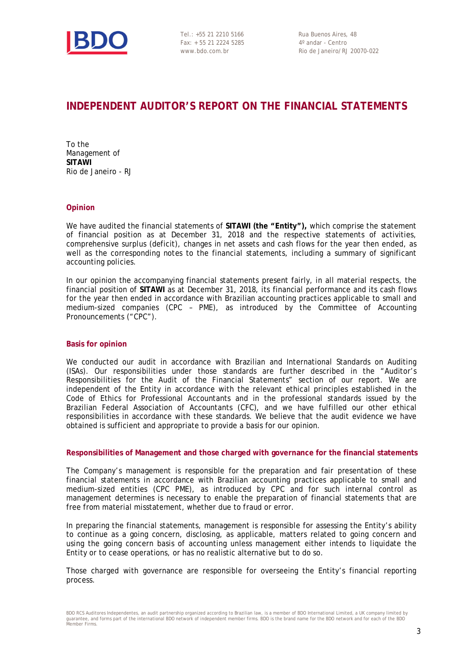

Tel.: +55 21 2210 5166 Rua Buenos Aires, 48 Fax: + 55 21 2224 5285 4º andar - Centro

www.bdo.com.br Rio de Janeiro/RJ 20070-022

# **INDEPENDENT AUDITOR'S REPORT ON THE FINANCIAL STATEMENTS**

To the Management of **SITAWI** Rio de Janeiro - RJ

#### **Opinion**

We have audited the financial statements of **SITAWI (the "Entity"),** which comprise the statement of financial position as at December 31, 2018 and the respective statements of activities, comprehensive surplus (deficit), changes in net assets and cash flows for the year then ended, as well as the corresponding notes to the financial statements, including a summary of significant accounting policies.

In our opinion the accompanying financial statements present fairly, in all material respects, the financial position of **SITAWI** as at December 31, 2018, its financial performance and its cash flows for the year then ended in accordance with Brazilian accounting practices applicable to small and medium-sized companies (CPC – PME), as introduced by the Committee of Accounting Pronouncements ("CPC").

#### **Basis for opinion**

We conducted our audit in accordance with Brazilian and International Standards on Auditing (ISAs). Our responsibilities under those standards are further described in the "Auditor's Responsibilities for the Audit of the Financial Statements" section of our report. We are independent of the Entity in accordance with the relevant ethical principles established in the Code of Ethics for Professional Accountants and in the professional standards issued by the Brazilian Federal Association of Accountants (CFC), and we have fulfilled our other ethical responsibilities in accordance with these standards. We believe that the audit evidence we have obtained is sufficient and appropriate to provide a basis for our opinion.

#### **Responsibilities of Management and those charged with governance for the financial statements**

The Company's management is responsible for the preparation and fair presentation of these financial statements in accordance with Brazilian accounting practices applicable to small and medium-sized entities (CPC PME), as introduced by CPC and for such internal control as management determines is necessary to enable the preparation of financial statements that are free from material misstatement, whether due to fraud or error.

In preparing the financial statements, management is responsible for assessing the Entity's ability to continue as a going concern, disclosing, as applicable, matters related to going concern and using the going concern basis of accounting unless management either intends to liquidate the Entity or to cease operations, or has no realistic alternative but to do so.

Those charged with governance are responsible for overseeing the Entity's financial reporting process.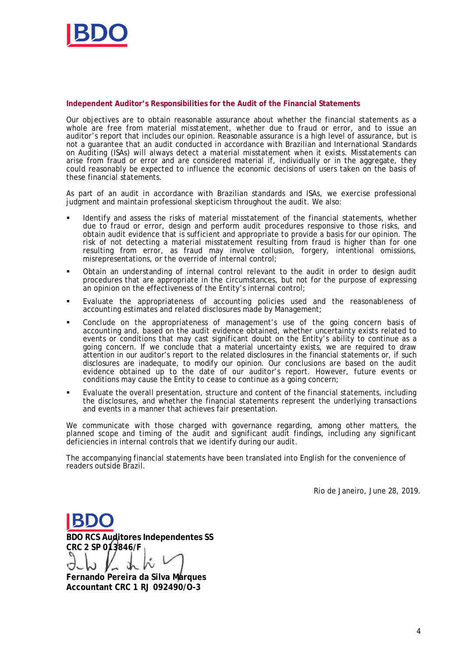

**Independent Auditor's Responsibilities for the Audit of the Financial Statements**

Our objectives are to obtain reasonable assurance about whether the financial statements as a whole are free from material misstatement, whether due to fraud or error, and to issue an auditor's report that includes our opinion. Reasonable assurance is a high level of assurance, but is not a guarantee that an audit conducted in accordance with Brazilian and International Standards on Auditing (ISAs) will always detect a material misstatement when it exists. Misstatements can arise from fraud or error and are considered material if, individually or in the aggregate, they could reasonably be expected to influence the economic decisions of users taken on the basis of these financial statements.

As part of an audit in accordance with Brazilian standards and ISAs, we exercise professional judgment and maintain professional skepticism throughout the audit. We also:

- Identify and assess the risks of material misstatement of the financial statements, whether due to fraud or error, design and perform audit procedures responsive to those risks, and obtain audit evidence that is sufficient and appropriate to provide a basis for our opinion. The risk of not detecting a material misstatement resulting from fraud is higher than for one resulting from error, as fraud may involve collusion, forgery, intentional omissions, misrepresentations, or the override of internal control;
- § Obtain an understanding of internal control relevant to the audit in order to design audit procedures that are appropriate in the circumstances, but not for the purpose of expressing an opinion on the effectiveness of the Entity's internal control;
- § Evaluate the appropriateness of accounting policies used and the reasonableness of accounting estimates and related disclosures made by Management;
- § Conclude on the appropriateness of management's use of the going concern basis of accounting and, based on the audit evidence obtained, whether uncertainty exists related to events or conditions that may cast significant doubt on the Entity's ability to continue as a going concern. If we conclude that a material uncertainty exists, we are required to draw attention in our auditor's report to the related disclosures in the financial statements or, if such disclosures are inadequate, to modify our opinion. Our conclusions are based on the audit evidence obtained up to the date of our auditor's report. However, future events or conditions may cause the Entity to cease to continue as a going concern;
- Evaluate the overall presentation, structure and content of the financial statements, including the disclosures, and whether the financial statements represent the underlying transactions and events in a manner that achieves fair presentation.

We communicate with those charged with governance regarding, among other matters, the planned scope and timing of the audit and significant audit findings, including any significant deficiencies in internal controls that we identify during our audit.

The accompanying financial statements have been translated into English for the convenience of readers outside Brazil.

Rio de Janeiro, June 28, 2019.

**BDO RCS Auditores Independentes SS CRC 2 SP 013846/F**

**Fernando Pereira da Silva Marques Accountant CRC 1 RJ 092490/O-3**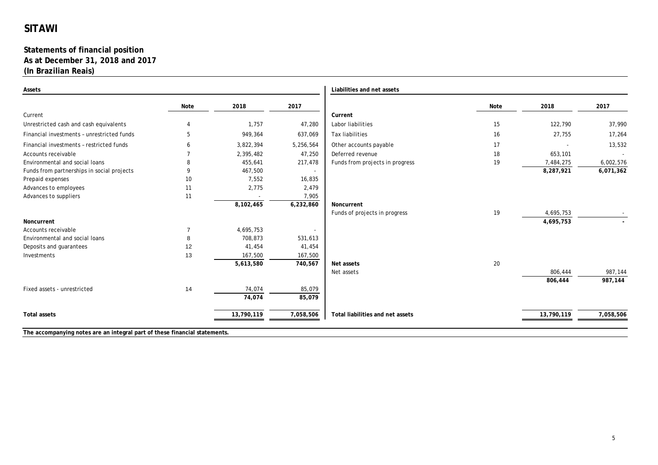#### **Statements of financial position As at December 31, 2018 and 2017 (In Brazilian Reais)**

| Assets                                     |                |            |           | Liabilities and net assets       |      |            |           |
|--------------------------------------------|----------------|------------|-----------|----------------------------------|------|------------|-----------|
|                                            | Note           | 2018       | 2017      |                                  | Note | 2018       | 2017      |
| Current                                    |                |            |           | Current                          |      |            |           |
| Unrestricted cash and cash equivalents     | $\overline{4}$ | 1,757      | 47,280    | Labor liabilities                | 15   | 122,790    | 37,990    |
| Financial investments - unrestricted funds | 5              | 949,364    | 637,069   | Tax liabilities                  | 16   | 27,755     | 17,264    |
| Financial investments - restricted funds   |                | 3,822,394  | 5,256,564 | Other accounts payable           | 17   |            | 13,532    |
| Accounts receivable                        |                | 2,395,482  | 47,250    | Deferred revenue                 | 18   | 653,101    |           |
| Environmental and social loans             | 8              | 455,641    | 217,478   | Funds from projects in progress  | 19   | 7,484,275  | 6,002,576 |
| Funds from partnerships in social projects | q              | 467,500    | $\sim$    |                                  |      | 8,287,921  | 6,071,362 |
| Prepaid expenses                           | 10             | 7.552      | 16,835    |                                  |      |            |           |
| Advances to employees                      | 11             | 2,775      | 2,479     |                                  |      |            |           |
| Advances to suppliers                      | 11             |            | 7,905     |                                  |      |            |           |
|                                            |                | 8,102,465  | 6,232,860 | Noncurrent                       |      |            |           |
|                                            |                |            |           | Funds of projects in progress    | 19   | 4,695,753  |           |
| Noncurrent                                 |                |            |           |                                  |      | 4,695,753  |           |
| Accounts receivable                        | $\overline{7}$ | 4,695,753  |           |                                  |      |            |           |
| Environmental and social loans             | 8              | 708,873    | 531,613   |                                  |      |            |           |
| Deposits and guarantees                    | 12             | 41,454     | 41,454    |                                  |      |            |           |
| Investments                                | 13             | 167,500    | 167,500   |                                  |      |            |           |
|                                            |                | 5,613,580  | 740,567   | Net assets                       | 20   |            |           |
|                                            |                |            |           | Net assets                       |      | 806,444    | 987,144   |
|                                            |                |            |           |                                  |      | 806,444    | 987,144   |
| Fixed assets - unrestricted                | 14             | 74,074     | 85,079    |                                  |      |            |           |
|                                            |                | 74,074     | 85,079    |                                  |      |            |           |
| Total assets                               |                | 13,790,119 | 7,058,506 | Total liabilities and net assets |      | 13,790,119 | 7,058,506 |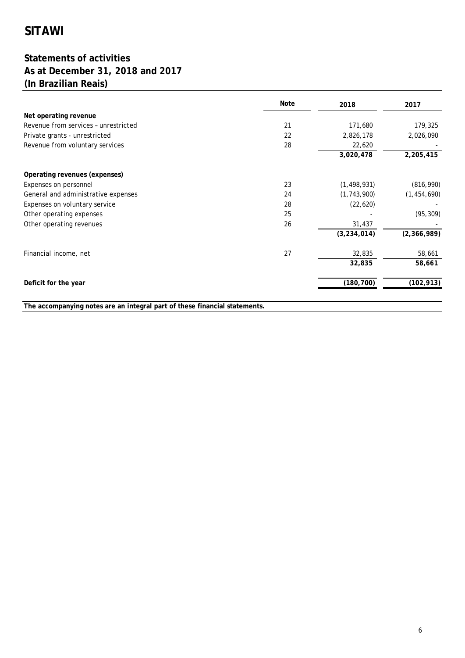# **Statements of activities As at December 31, 2018 and 2017 (In Brazilian Reais)**

|                                      | Note | 2018          | 2017          |
|--------------------------------------|------|---------------|---------------|
| Net operating revenue                |      |               |               |
| Revenue from services - unrestricted | 21   | 171,680       | 179,325       |
| Private grants - unrestricted        | 22   | 2,826,178     | 2,026,090     |
| Revenue from voluntary services      | 28   | 22,620        |               |
|                                      |      | 3,020,478     | 2,205,415     |
| Operating revenues (expenses)        |      |               |               |
| Expenses on personnel                | 23   | (1, 498, 931) | (816, 990)    |
| General and administrative expenses  | 24   | (1, 743, 900) | (1, 454, 690) |
| Expenses on voluntary service        | 28   | (22, 620)     |               |
| Other operating expenses             | 25   |               | (95, 309)     |
| Other operating revenues             | 26   | 31,437        |               |
|                                      |      | (3, 234, 014) | (2, 366, 989) |
| Financial income, net                | 27   | 32,835        | 58,661        |
|                                      |      | 32,835        | 58,661        |
| Deficit for the year                 |      | (180, 700)    | (102, 913)    |
|                                      |      |               |               |

**The accompanying notes are an integral part of these financial statements.**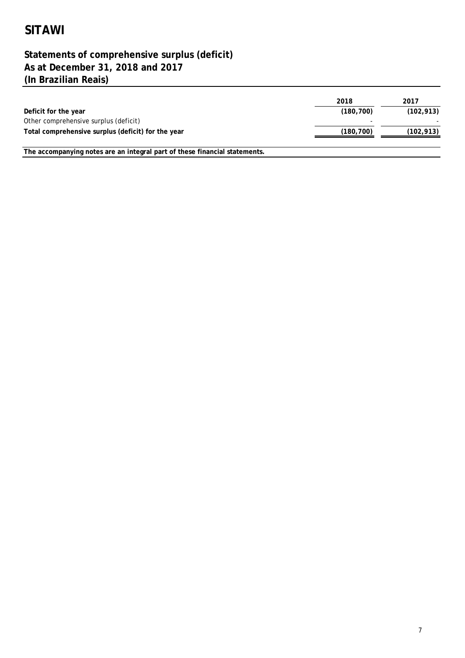# **(In Brazilian Reais) Statements of comprehensive surplus (deficit) As at December 31, 2018 and 2017**

**The accompanying notes are an integral part of these financial statements.**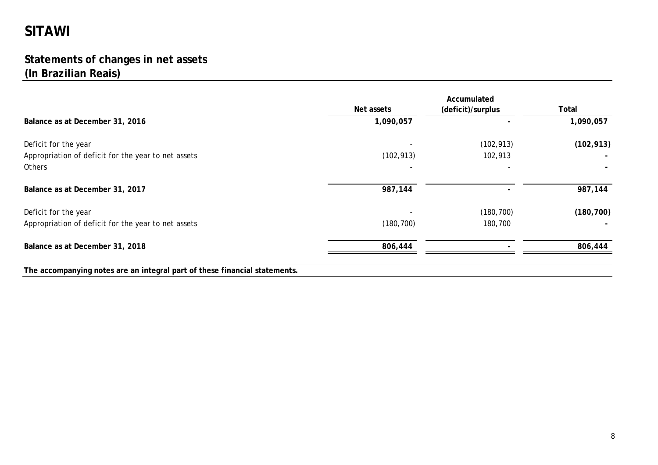# **Statements of changes in net assets (In Brazilian Reais)**

|                                                                            | Accumulated |                   |            |
|----------------------------------------------------------------------------|-------------|-------------------|------------|
|                                                                            | Net assets  | (deficit)/surplus | Total      |
| Balance as at December 31, 2016                                            | 1,090,057   |                   | 1,090,057  |
| Deficit for the year                                                       |             | (102, 913)        | (102, 913) |
| Appropriation of deficit for the year to net assets                        | (102, 913)  | 102,913           |            |
| Others                                                                     |             |                   |            |
| Balance as at December 31, 2017                                            | 987,144     |                   | 987,144    |
| Deficit for the year                                                       |             | (180, 700)        | (180, 700) |
| Appropriation of deficit for the year to net assets                        | (180, 700)  | 180,700           |            |
| Balance as at December 31, 2018                                            | 806,444     |                   | 806,444    |
| The accompanying notes are an integral part of these financial statements. |             |                   |            |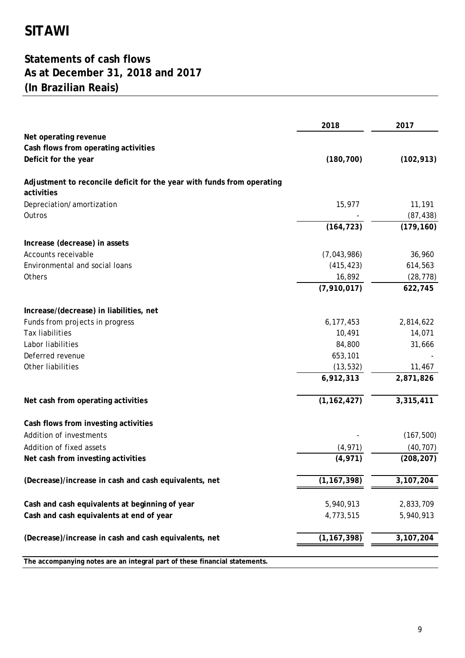# **Statements of cash flows As at December 31, 2018 and 2017 (In Brazilian Reais)**

|                                                                                      | 2018          | 2017                |
|--------------------------------------------------------------------------------------|---------------|---------------------|
| Net operating revenue                                                                |               |                     |
| Cash flows from operating activities                                                 |               |                     |
| Deficit for the year                                                                 | (180, 700)    | (102, 913)          |
| Adjustment to reconcile deficit for the year with funds from operating<br>activities |               |                     |
| Depreciation/amortization<br>Outros                                                  | 15,977        | 11,191<br>(87, 438) |
|                                                                                      | (164, 723)    | (179, 160)          |
| Increase (decrease) in assets                                                        |               |                     |
| Accounts receivable                                                                  | (7,043,986)   | 36,960              |
| Environmental and social loans                                                       | (415, 423)    | 614,563             |
| Others                                                                               | 16,892        | (28, 778)           |
|                                                                                      | (7,910,017)   | 622,745             |
| Increase/(decrease) in liabilities, net                                              |               |                     |
| Funds from projects in progress                                                      | 6, 177, 453   | 2,814,622           |
| <b>Tax liabilities</b>                                                               | 10,491        | 14,071              |
| Labor liabilities                                                                    | 84,800        | 31,666              |
| Deferred revenue                                                                     | 653,101       |                     |
| Other liabilities                                                                    | (13, 532)     | 11,467              |
|                                                                                      | 6,912,313     | 2,871,826           |
| Net cash from operating activities                                                   | (1, 162, 427) | 3,315,411           |
| Cash flows from investing activities                                                 |               |                     |
| Addition of investments                                                              |               | (167, 500)          |
| Addition of fixed assets                                                             | (4, 971)      | (40, 707)           |
| Net cash from investing activities                                                   | (4, 971)      | (208, 207)          |
| (Decrease)/increase in cash and cash equivalents, net                                | (1, 167, 398) | 3,107,204           |
| Cash and cash equivalents at beginning of year                                       | 5,940,913     | 2,833,709           |
| Cash and cash equivalents at end of year                                             | 4,773,515     | 5,940,913           |
| (Decrease)/increase in cash and cash equivalents, net                                | (1, 167, 398) | 3,107,204           |
| The accompanying notes are an integral part of these financial statements.           |               |                     |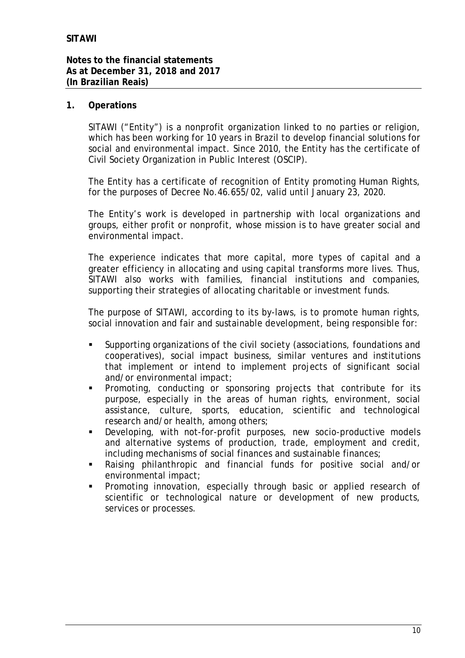## **1. Operations**

SITAWI ("Entity") is a nonprofit organization linked to no parties or religion, which has been working for 10 years in Brazil to develop financial solutions for social and environmental impact. Since 2010, the Entity has the certificate of Civil Society Organization in Public Interest (OSCIP).

The Entity has a certificate of recognition of Entity promoting Human Rights, for the purposes of Decree No.46.655/02, valid until January 23, 2020.

The Entity's work is developed in partnership with local organizations and groups, either profit or nonprofit, whose mission is to have greater social and environmental impact.

The experience indicates that more capital, more types of capital and a greater efficiency in allocating and using capital transforms more lives. Thus, SITAWI also works with families, financial institutions and companies, supporting their strategies of allocating charitable or investment funds.

The purpose of SITAWI, according to its by-laws, is to promote human rights, social innovation and fair and sustainable development, being responsible for:

- § Supporting organizations of the civil society (associations, foundations and cooperatives), social impact business, similar ventures and institutions that implement or intend to implement projects of significant social and/or environmental impact;
- § Promoting, conducting or sponsoring projects that contribute for its purpose, especially in the areas of human rights, environment, social assistance, culture, sports, education, scientific and technological research and/or health, among others;
- § Developing, with not-for-profit purposes, new socio-productive models and alternative systems of production, trade, employment and credit, including mechanisms of social finances and sustainable finances;
- Raising philanthropic and financial funds for positive social and/or environmental impact;
- § Promoting innovation, especially through basic or applied research of scientific or technological nature or development of new products, services or processes.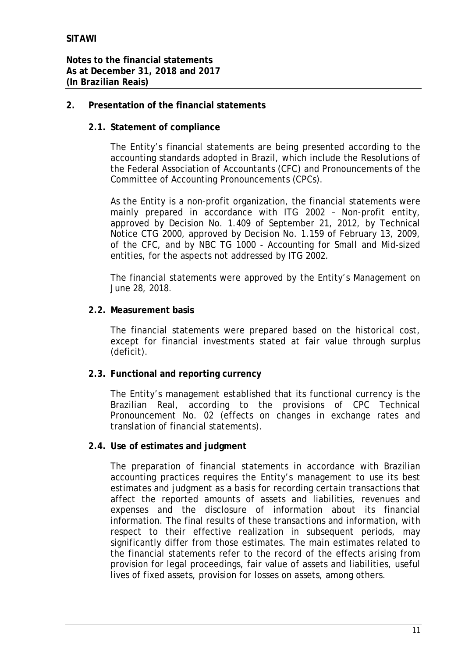- **2. Presentation of the financial statements**
	- **2.1. Statement of compliance**

The Entity's financial statements are being presented according to the accounting standards adopted in Brazil, which include the Resolutions of the Federal Association of Accountants (CFC) and Pronouncements of the Committee of Accounting Pronouncements (CPCs).

As the Entity is a non-profit organization, the financial statements were mainly prepared in accordance with ITG 2002 – Non-profit entity, approved by Decision No. 1.409 of September 21, 2012, by Technical Notice CTG 2000, approved by Decision No. 1.159 of February 13, 2009, of the CFC, and by NBC TG 1000 - Accounting for Small and Mid-sized entities, for the aspects not addressed by ITG 2002.

The financial statements were approved by the Entity's Management on June 28, 2018.

**2.2. Measurement basis**

The financial statements were prepared based on the historical cost, except for financial investments stated at fair value through surplus (deficit).

**2.3. Functional and reporting currency**

The Entity's management established that its functional currency is the Brazilian Real, according to the provisions of CPC Technical Pronouncement No. 02 (effects on changes in exchange rates and translation of financial statements).

**2.4. Use of estimates and judgment**

The preparation of financial statements in accordance with Brazilian accounting practices requires the Entity's management to use its best estimates and judgment as a basis for recording certain transactions that affect the reported amounts of assets and liabilities, revenues and expenses and the disclosure of information about its financial information. The final results of these transactions and information, with respect to their effective realization in subsequent periods, may significantly differ from those estimates. The main estimates related to the financial statements refer to the record of the effects arising from provision for legal proceedings, fair value of assets and liabilities, useful lives of fixed assets, provision for losses on assets, among others.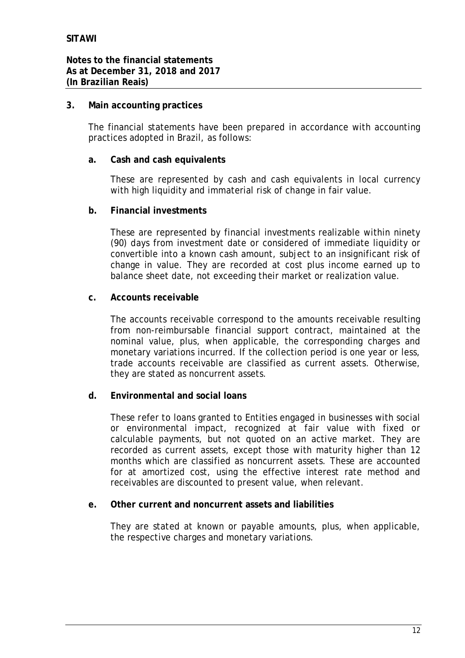**3. Main accounting practices**

The financial statements have been prepared in accordance with accounting practices adopted in Brazil, as follows:

**a. Cash and cash equivalents**

These are represented by cash and cash equivalents in local currency with high liquidity and immaterial risk of change in fair value.

**b. Financial investments**

These are represented by financial investments realizable within ninety (90) days from investment date or considered of immediate liquidity or convertible into a known cash amount, subject to an insignificant risk of change in value. They are recorded at cost plus income earned up to balance sheet date, not exceeding their market or realization value.

**c. Accounts receivable**

The accounts receivable correspond to the amounts receivable resulting from non-reimbursable financial support contract, maintained at the nominal value, plus, when applicable, the corresponding charges and monetary variations incurred. If the collection period is one year or less, trade accounts receivable are classified as current assets. Otherwise, they are stated as noncurrent assets.

**d. Environmental and social loans**

These refer to loans granted to Entities engaged in businesses with social or environmental impact, recognized at fair value with fixed or calculable payments, but not quoted on an active market. They are recorded as current assets, except those with maturity higher than 12 months which are classified as noncurrent assets. These are accounted for at amortized cost, using the effective interest rate method and receivables are discounted to present value, when relevant.

**e. Other current and noncurrent assets and liabilities**

They are stated at known or payable amounts, plus, when applicable, the respective charges and monetary variations.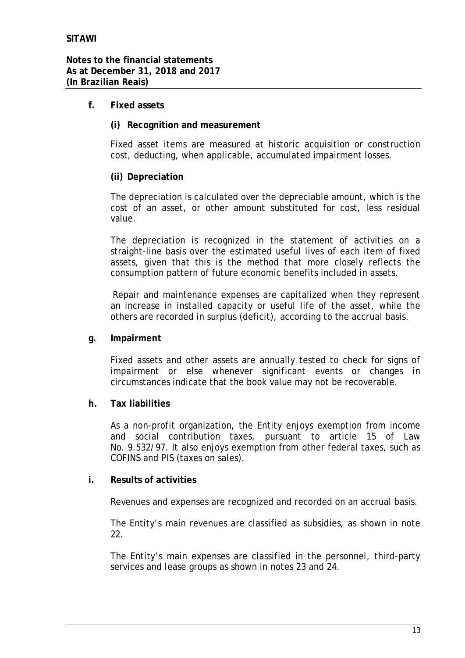- **f. Fixed assets**
	- **(i) Recognition and measurement**

Fixed asset items are measured at historic acquisition or construction cost, deducting, when applicable, accumulated impairment losses.

**(ii) Depreciation**

The depreciation is calculated over the depreciable amount, which is the cost of an asset, or other amount substituted for cost, less residual value.

The depreciation is recognized in the statement of activities on a straight-line basis over the estimated useful lives of each item of fixed assets, given that this is the method that more closely reflects the consumption pattern of future economic benefits included in assets.

Repair and maintenance expenses are capitalized when they represent an increase in installed capacity or useful life of the asset, while the others are recorded in surplus (deficit), according to the accrual basis.

**g. Impairment**

Fixed assets and other assets are annually tested to check for signs of impairment or else whenever significant events or changes in circumstances indicate that the book value may not be recoverable.

**h. Tax liabilities**

As a non-profit organization, the Entity enjoys exemption from income and social contribution taxes, pursuant to article 15 of Law No. 9.532/97. It also enjoys exemption from other federal taxes, such as COFINS and PIS (taxes on sales).

**i. Results of activities**

Revenues and expenses are recognized and recorded on an accrual basis.

The Entity's main revenues are classified as subsidies, as shown in note 22.

The Entity's main expenses are classified in the personnel, third-party services and lease groups as shown in notes 23 and 24.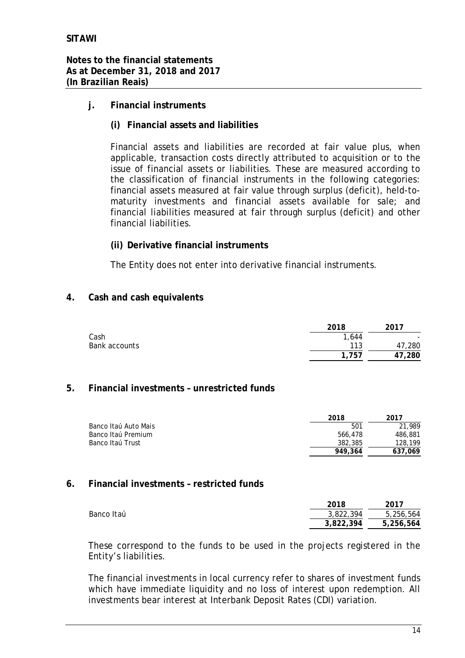**Notes to the financial statements As at December 31, 2018 and 2017 (In Brazilian Reais)**

- **j. Financial instruments**
	- **(i) Financial assets and liabilities**

Financial assets and liabilities are recorded at fair value plus, when applicable, transaction costs directly attributed to acquisition or to the issue of financial assets or liabilities. These are measured according to the classification of financial instruments in the following categories: financial assets measured at fair value through surplus (deficit), held-tomaturity investments and financial assets available for sale; and financial liabilities measured at fair through surplus (deficit) and other financial liabilities.

**(ii) Derivative financial instruments**

The Entity does not enter into derivative financial instruments.

#### **4. Cash and cash equivalents**

|               | 2018  | 2017      |
|---------------|-------|-----------|
| Cash          | 1,644 |           |
| Bank accounts | 113   | 47,280    |
|               | .757  | 280<br>47 |

#### **5. Financial investments – unrestricted funds**

|                      | 2018    | 2017    |
|----------------------|---------|---------|
| Banco Itaú Auto Mais | 501     | 21,989  |
| Banco Itaú Premium   | 566.478 | 486,881 |
| Banco Itaú Trust     | 382,385 | 128,199 |
|                      | 949.364 | 637.069 |

#### **6. Financial investments – restricted funds**

|            | 2018      | 2017      |
|------------|-----------|-----------|
| Banco Itaú | 3,822,394 | 5,256,564 |
|            | 3.822.394 | 5,256,564 |

These correspond to the funds to be used in the projects registered in the Entity's liabilities.

The financial investments in local currency refer to shares of investment funds which have immediate liquidity and no loss of interest upon redemption. All investments bear interest at Interbank Deposit Rates (CDI) variation.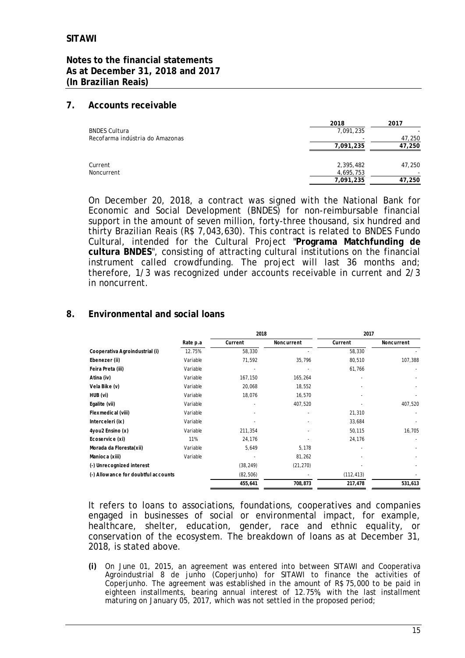#### **7. Accounts receivable**

|                                 | 2018      | 2017   |
|---------------------------------|-----------|--------|
| <b>BNDES Cultura</b>            | 7,091,235 |        |
| Recofarma indústria do Amazonas |           | 47,250 |
|                                 | 7,091,235 | 47,250 |
| Current                         | 2,395,482 | 47,250 |
| Noncurrent                      | 4,695,753 |        |
|                                 | 7,091,235 | 47,250 |

On December 20, 2018, a contract was signed with the National Bank for Economic and Social Development (BNDES) for non-reimbursable financial support in the amount of seven million, forty-three thousand, six hundred and thirty Brazilian Reais (R\$ 7,043,630). This contract is related to BNDES Fundo Cultural, intended for the Cultural Project "**Programa Matchfunding de cultura BNDES**", consisting of attracting cultural institutions on the financial instrument called crowdfunding. The project will last 36 months and; therefore, 1/3 was recognized under accounts receivable in current and 2/3 in noncurrent.

# **8. Environmental and social loans**

|                                     |          | 2018      |            | 2017       |            |
|-------------------------------------|----------|-----------|------------|------------|------------|
|                                     | Rate p.a | Current   | Noncurrent | Current    | Noncurrent |
| Cooperativa Agroindustrial (i)      | 12.75%   | 58,330    |            | 58,330     |            |
| Ebenezer (ii)                       | Variable | 71,592    | 35,796     | 80,510     | 107,388    |
| Feira Preta (iii)                   | Variable |           |            | 61,766     |            |
| Atina (iv)                          | Variable | 167,150   | 165,264    |            |            |
| Vela Bike (v)                       | Variable | 20,068    | 18,552     |            |            |
| HUB (vi)                            | Variable | 18,076    | 16,570     |            |            |
| Egalite (vii)                       | Variable |           | 407,520    |            | 407,520    |
| Flexmedical (viii)                  | Variable |           |            | 21,310     |            |
| Interceleri (ix)                    | Variable |           |            | 33,684     |            |
| 4you2 Ensino (x)                    | Variable | 211,354   |            | 50,115     | 16,705     |
| Ecoservice (xi)                     | 11%      | 24,176    |            | 24,176     |            |
| Morada da Floresta(xii)             | Variable | 5,649     | 5,178      |            |            |
| Manioca (xiii)                      | Variable |           | 81,262     |            |            |
| (-) Unrecognized interest           |          | (38, 249) | (21, 270)  |            |            |
| (-) Allowance for doubtful accounts |          | (82, 506) |            | (112, 413) |            |
|                                     |          | 455,641   | 708,873    | 217,478    | 531,613    |

It refers to loans to associations, foundations, cooperatives and companies engaged in businesses of social or environmental impact, for example, healthcare, shelter, education, gender, race and ethnic equality, or conservation of the ecosystem. The breakdown of loans as at December 31, 2018, is stated above.

**(i)** On June 01, 2015, an agreement was entered into between SITAWI and Cooperativa Agroindustrial 8 de junho (Coperjunho) for SITAWI to finance the activities of Coperjunho. The agreement was established in the amount of R\$ 75,000 to be paid in eighteen installments, bearing annual interest of 12.75%, with the last installment maturing on January 05, 2017, which was not settled in the proposed period;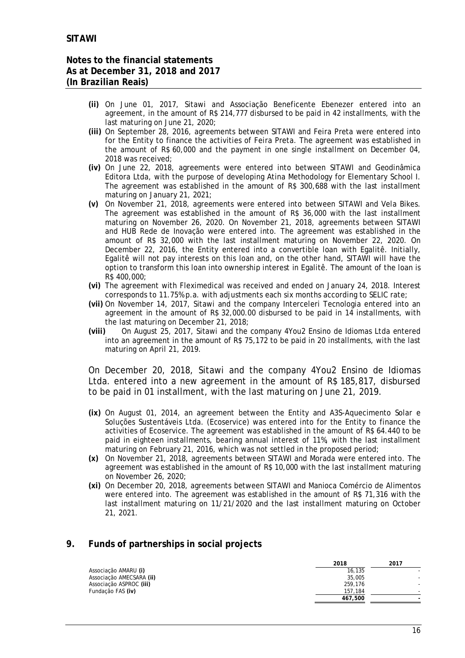- **(ii)** On June 01, 2017, Sitawi and Associação Beneficente Ebenezer entered into an agreement, in the amount of R\$ 214,777 disbursed to be paid in 42 installments, with the last maturing on June 21, 2020;
- **(iii)** On September 28, 2016, agreements between SITAWI and Feira Preta were entered into for the Entity to finance the activities of Feira Preta. The agreement was established in the amount of R\$ 60,000 and the payment in one single installment on December 04, 2018 was received;
- **(iv)** On June 22, 2018, agreements were entered into between SITAWI and Geodinâmica Editora Ltda, with the purpose of developing Atina Methodology for Elementary School I. The agreement was established in the amount of R\$ 300,688 with the last installment maturing on January 21, 2021;
- **(v)** On November 21, 2018, agreements were entered into between SITAWI and Vela Bikes. The agreement was established in the amount of R\$ 36,000 with the last installment maturing on November 26, 2020. On November 21, 2018, agreements between SITAWI and HUB Rede de Inovação were entered into. The agreement was established in the amount of R\$ 32,000 with the last installment maturing on November 22, 2020. On December 22, 2016, the Entity entered into a convertible loan with Egalitê. Initially, Egalitê will not pay interests on this loan and, on the other hand, SITAWI will have the option to transform this loan into ownership interest in Egalitê. The amount of the loan is R\$ 400,000;
- **(vi)** The agreement with Fleximedical was received and ended on January 24, 2018. Interest corresponds to 11.75% p.a. with adjustments each six months according to SELIC rate;
- **(vii)** On November 14, 2017, Sitawi and the company Interceleri Tecnologia entered into an agreement in the amount of R\$ 32,000.00 disbursed to be paid in 14 installments, with the last maturing on December 21, 2018;
- **(viii)** On August 25, 2017, Sitawi and the company 4You2 Ensino de Idiomas Ltda entered into an agreement in the amount of R\$ 75,172 to be paid in 20 installments, with the last maturing on April 21, 2019.

On December 20, 2018, Sitawi and the company 4You2 Ensino de Idiomas Ltda. entered into a new agreement in the amount of R\$ 185,817, disbursed to be paid in 01 installment, with the last maturing on June 21, 2019.

- **(ix)** On August 01, 2014, an agreement between the Entity and A3S-Aquecimento Solar e Soluções Sustentáveis Ltda. (Ecoservice) was entered into for the Entity to finance the activities of Ecoservice. The agreement was established in the amount of R\$ 64.440 to be paid in eighteen installments, bearing annual interest of 11%, with the last installment maturing on February 21, 2016, which was not settled in the proposed period;
- **(x)** On November 21, 2018, agreements between SITAWI and Morada were entered into. The agreement was established in the amount of R\$ 10,000 with the last installment maturing on November 26, 2020;
- **(xi)** On December 20, 2018, agreements between SITAWI and Manioca Comércio de Alimentos were entered into. The agreement was established in the amount of R\$ 71,316 with the last installment maturing on 11/21/2020 and the last installment maturing on October 21, 2021.

#### **9. Funds of partnerships in social projects**

|                          | 2018    | 2017 |
|--------------------------|---------|------|
| Associação AMARU (i)     | 16,135  |      |
| Associação AMECSARA (ii) | 35,005  |      |
| Associação ASPROC (iii)  | 259,176 |      |
| Fundação FAS (iv)        | 157.184 |      |
|                          | 467.500 |      |
|                          |         |      |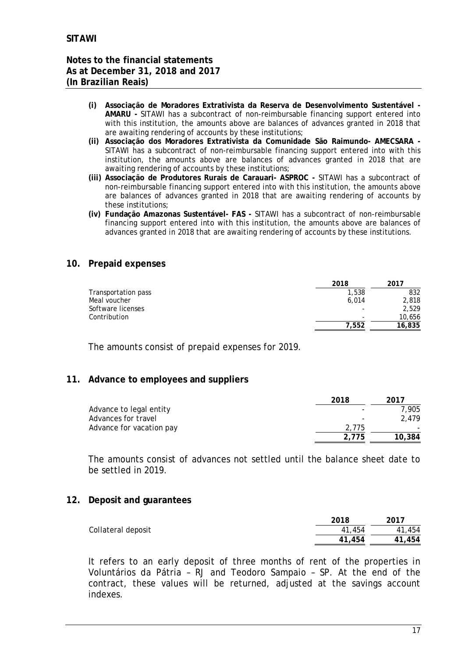- **(i) Associação de Moradores Extrativista da Reserva de Desenvolvimento Sustentável - AMARU -** SITAWI has a subcontract of non-reimbursable financing support entered into with this institution, the amounts above are balances of advances granted in 2018 that are awaiting rendering of accounts by these institutions;
- **(ii) Associação dos Moradores Extrativista da Comunidade São Raimundo- AMECSARA -** SITAWI has a subcontract of non-reimbursable financing support entered into with this institution, the amounts above are balances of advances granted in 2018 that are awaiting rendering of accounts by these institutions;
- **(iii) Associação de Produtores Rurais de Carauari- ASPROC -** SITAWI has a subcontract of non-reimbursable financing support entered into with this institution, the amounts above are balances of advances granted in 2018 that are awaiting rendering of accounts by these institutions;
- **(iv) Fundação Amazonas Sustentável- FAS -** SITAWI has a subcontract of non-reimbursable financing support entered into with this institution, the amounts above are balances of advances granted in 2018 that are awaiting rendering of accounts by these institutions.

#### **10. Prepaid expenses**

|                     | 2018  | 2017   |
|---------------------|-------|--------|
| Transportation pass | 1,538 | 832    |
| Meal voucher        | 6.014 | 2,818  |
| Software licenses   | -     | 2.529  |
| Contribution        | -     | 10,656 |
|                     | 7.552 | 16,835 |

The amounts consist of prepaid expenses for 2019.

#### **11. Advance to employees and suppliers**

|                          | 2018  | 2017   |
|--------------------------|-------|--------|
| Advance to legal entity  |       | 7.905  |
| Advances for travel      |       | 2.479  |
| Advance for vacation pay | 2.775 |        |
|                          | 2.775 | 10,384 |

The amounts consist of advances not settled until the balance sheet date to be settled in 2019.

#### **12. Deposit and guarantees**

|                    | 2018   | 2017   |
|--------------------|--------|--------|
| Collateral deposit | 41,454 | 41,454 |
|                    | 41,454 | 41,454 |

It refers to an early deposit of three months of rent of the properties in Voluntários da Pátria – RJ and Teodoro Sampaio – SP. At the end of the contract, these values will be returned, adjusted at the savings account indexes.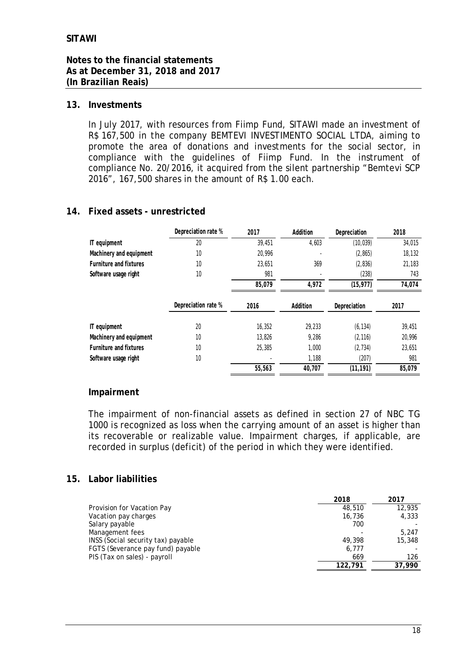#### **13. Investments**

In July 2017, with resources from Fiimp Fund, SITAWI made an investment of R\$ 167,500 in the company BEMTEVI INVESTIMENTO SOCIAL LTDA, aiming to promote the area of donations and investments for the social sector, in compliance with the guidelines of Fiimp Fund. In the instrument of compliance No. 20/2016, it acquired from the silent partnership "Bemtevi SCP 2016", 167,500 shares in the amount of R\$ 1.00 each.

## **14. Fixed assets - unrestricted**

|                         | Depreciation rate % | 2017   | Addition | Depreciation | 2018   |
|-------------------------|---------------------|--------|----------|--------------|--------|
| IT equipment            | 20                  | 39,451 | 4,603    | (10, 039)    | 34,015 |
| Machinery and equipment | 10                  | 20.996 |          | (2, 865)     | 18,132 |
| Furniture and fixtures  | 10                  | 23,651 | 369      | (2, 836)     | 21,183 |
| Software usage right    | 10                  | 981    |          | (238)        | 743    |
|                         |                     | 85,079 | 4,972    | (15, 977)    | 74,074 |
|                         | Depreciation rate % | 2016   | Addition | Depreciation | 2017   |
| IT equipment            | 20                  | 16,352 | 29,233   | (6, 134)     | 39,451 |
| Machinery and equipment | 10                  | 13,826 | 9,286    | (2, 116)     | 20,996 |
| Furniture and fixtures  | 10                  | 25,385 | 1,000    | (2, 734)     | 23,651 |
| Software usage right    | 10                  |        | 1,188    | (207)        | 981    |
|                         |                     | 55,563 | 40,707   | (11, 191)    | 85,079 |

#### **Impairment**

The impairment of non-financial assets as defined in section 27 of NBC TG 1000 is recognized as loss when the carrying amount of an asset is higher than its recoverable or realizable value. Impairment charges, if applicable, are recorded in surplus (deficit) of the period in which they were identified.

#### **15. Labor liabilities**

|                                    | 2018    | 2017   |
|------------------------------------|---------|--------|
| Provision for Vacation Pay         | 48,510  | 12,935 |
| Vacation pay charges               | 16,736  | 4,333  |
| Salary payable                     | 700     |        |
| Management fees                    |         | 5.247  |
| INSS (Social security tax) payable | 49,398  | 15,348 |
| FGTS (Severance pay fund) payable  | 6,777   |        |
| PIS (Tax on sales) - payroll       | 669     | 126    |
|                                    | 122,791 | 37,990 |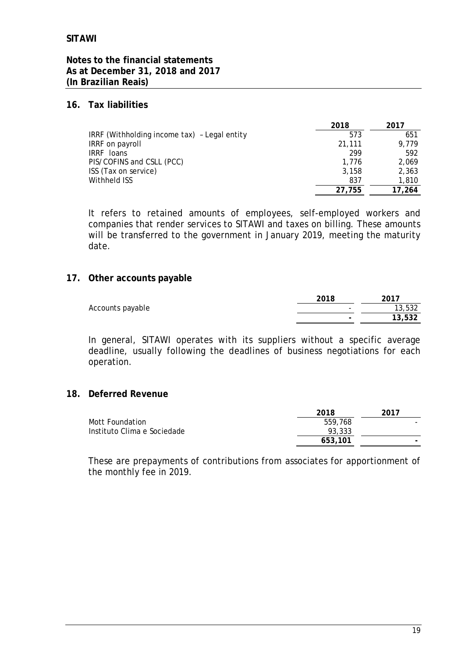#### **Notes to the financial statements As at December 31, 2018 and 2017 (In Brazilian Reais)**

#### **16. Tax liabilities**

|                                              | 2018   | 2017   |
|----------------------------------------------|--------|--------|
| IRRF (Withholding income tax) - Legal entity | 573    | 651    |
| IRRF on payroll                              | 21,111 | 9.779  |
| IRRF loans                                   | 299    | 592    |
| PIS/COFINS and CSLL (PCC)                    | 1.776  | 2.069  |
| ISS (Tax on service)                         | 3.158  | 2,363  |
| Withheld ISS                                 | 837    | 1,810  |
|                                              | 27.755 | 17.264 |

It refers to retained amounts of employees, self-employed workers and companies that render services to SITAWI and taxes on billing. These amounts will be transferred to the government in January 2019, meeting the maturity date.

#### **17. Other accounts payable**

|                  | 2018                     | 2017   |
|------------------|--------------------------|--------|
| Accounts payable | $\overline{\phantom{a}}$ | 13,532 |
|                  | $\sim$                   | 13,532 |

In general, SITAWI operates with its suppliers without a specific average deadline, usually following the deadlines of business negotiations for each operation.

#### **18. Deferred Revenue**

|                             | 2018    | 2017 |
|-----------------------------|---------|------|
| Mott Foundation             | 559,768 |      |
| Instituto Clima e Sociedade | 93,333  |      |
|                             | 653,101 |      |

These are prepayments of contributions from associates for apportionment of the monthly fee in 2019.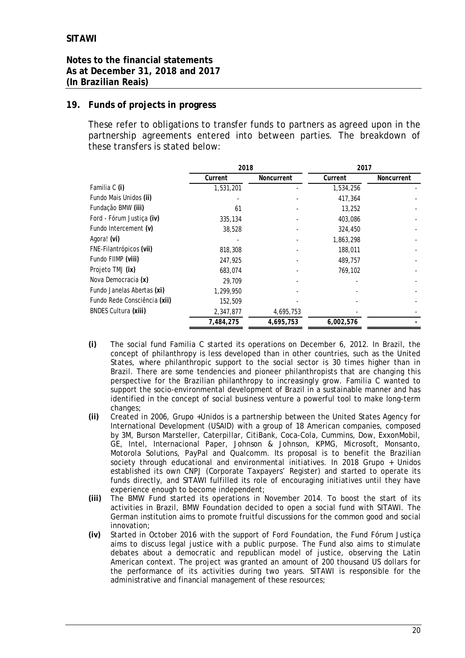#### **Notes to the financial statements As at December 31, 2018 and 2017 (In Brazilian Reais)**

## **19. Funds of projects in progress**

These refer to obligations to transfer funds to partners as agreed upon in the partnership agreements entered into between parties. The breakdown of these transfers is stated below:

|                              | 2018      |            | 2017      |            |
|------------------------------|-----------|------------|-----------|------------|
|                              | Current   | Noncurrent | Current   | Noncurrent |
| Familia C (i)                | 1,531,201 |            | 1,534,256 |            |
| Fundo Mais Unidos (ii)       |           |            | 417,364   |            |
| Fundação BMW (iii)           | 61        |            | 13,252    |            |
| Ford - Fórum Justica (iv)    | 335,134   |            | 403,086   |            |
| Fundo Intercement (v)        | 38,528    |            | 324,450   |            |
| Agora! (vi)                  |           |            | 1,863,298 |            |
| FNE-Filantrópicos (vii)      | 818,308   |            | 188,011   |            |
| Fundo FIIMP (viii)           | 247,925   |            | 489,757   |            |
| Projeto TMJ (ix)             | 683,074   |            | 769,102   |            |
| Nova Democracia (x)          | 29,709    |            |           |            |
| Fundo Janelas Abertas (xi)   | 1,299,950 |            |           |            |
| Fundo Rede Consciência (xii) | 152,509   |            |           |            |
| <b>BNDES Cultura (xiii)</b>  | 2,347,877 | 4,695,753  |           |            |
|                              | 7.484.275 | 4,695,753  | 6,002,576 |            |

- **(i)** The social fund Familia C started its operations on December 6, 2012. In Brazil, the concept of philanthropy is less developed than in other countries, such as the United States, where philanthropic support to the social sector is 30 times higher than in Brazil. There are some tendencies and pioneer philanthropists that are changing this perspective for the Brazilian philanthropy to increasingly grow. Familia C wanted to support the socio-environmental development of Brazil in a sustainable manner and has identified in the concept of social business venture a powerful tool to make long-term changes;
- **(ii)** Created in 2006, Grupo +Unidos is a partnership between the United States Agency for International Development (USAID) with a group of 18 American companies, composed by 3M, Burson Marsteller, Caterpillar, CitiBank, Coca-Cola, Cummins, Dow, ExxonMobil, GE, Intel, Internacional Paper, Johnson & Johnson, KPMG, Microsoft, Monsanto, Motorola Solutions, PayPal and Qualcomm. Its proposal is to benefit the Brazilian society through educational and environmental initiatives. In 2018 Grupo + Unidos established its own CNPJ (Corporate Taxpayers' Register) and started to operate its funds directly, and SITAWI fulfilled its role of encouraging initiatives until they have experience enough to become independent;
- **(iii)** The BMW Fund started its operations in November 2014. To boost the start of its activities in Brazil, BMW Foundation decided to open a social fund with SITAWI. The German institution aims to promote fruitful discussions for the common good and social innovation;
- **(iv)** Started in October 2016 with the support of Ford Foundation, the Fund Fórum Justiça aims to discuss legal justice with a public purpose. The Fund also aims to stimulate debates about a democratic and republican model of justice, observing the Latin American context. The project was granted an amount of 200 thousand US dollars for the performance of its activities during two years. SITAWI is responsible for the administrative and financial management of these resources;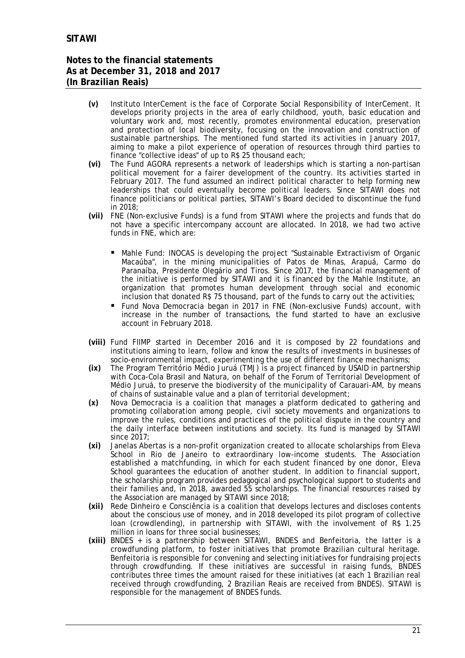- **(v)** Instituto InterCement is the face of Corporate Social Responsibility of InterCement. It develops priority projects in the area of early childhood, youth, basic education and voluntary work and, most recently, promotes environmental education, preservation and protection of local biodiversity, focusing on the innovation and construction of sustainable partnerships. The mentioned fund started its activities in January 2017, aiming to make a pilot experience of operation of resources through third parties to finance "collective ideas" of up to R\$ 25 thousand each;
- **(vi)** The Fund AGORA represents a network of leaderships which is starting a non-partisan political movement for a fairer development of the country. Its activities started in February 2017. The fund assumed an indirect political character to help forming new leaderships that could eventually become political leaders. Since SITAWI does not finance politicians or political parties, SITAWI's Board decided to discontinue the fund in 2018;
- **(vii)** FNE (Non-exclusive Funds) is a fund from SITAWI where the projects and funds that do not have a specific intercompany account are allocated. In 2018, we had two active funds in FNE, which are:
	- Mahle Fund: INOCAS is developing the project "Sustainable Extractivism of Organic Macaúba", in the mining municipalities of Patos de Minas, Arapuá, Carmo do Paranaíba, Presidente Olegário and Tiros. Since 2017, the financial management of the initiative is performed by SITAWI and it is financed by the Mahle Institute, an organization that promotes human development through social and economic inclusion that donated R\$ 75 thousand, part of the funds to carry out the activities;
	- Fund Nova Democracia began in 2017 in FNE (Non-exclusive Funds) account, with increase in the number of transactions, the fund started to have an exclusive account in February 2018.
- **(viii)** Fund FIIMP started in December 2016 and it is composed by 22 foundations and institutions aiming to learn, follow and know the results of investments in businesses of socio-environmental impact, experimenting the use of different finance mechanisms;
- **(ix)** The Program Território Médio Juruá (TMJ) is a project financed by USAID in partnership with Coca-Cola Brasil and Natura, on behalf of the Forum of Territorial Development of Médio Juruá, to preserve the biodiversity of the municipality of Carauari-AM, by means of chains of sustainable value and a plan of territorial development;
- **(x)** Nova Democracia is a coalition that manages a platform dedicated to gathering and promoting collaboration among people, civil society movements and organizations to improve the rules, conditions and practices of the political dispute in the country and the daily interface between institutions and society. Its fund is managed by SITAWI since 2017;
- **(xi)** Janelas Abertas is a non-profit organization created to allocate scholarships from Eleva School in Rio de Janeiro to extraordinary low-income students. The Association established a matchfunding, in which for each student financed by one donor, Eleva School guarantees the education of another student. In addition to financial support, the scholarship program provides pedagogical and psychological support to students and their families and, in 2018, awarded 55 scholarships. The financial resources raised by the Association are managed by SITAWI since 2018;
- **(xii)** Rede Dinheiro e Consciência is a coalition that develops lectures and discloses contents about the conscious use of money, and in 2018 developed its pilot program of collective loan (crowdlending), in partnership with SITAWI, with the involvement of R\$ 1.25 million in loans for three social businesses;
- **(xiii)** BNDES + is a partnership between SITAWI, BNDES and Benfeitoria, the latter is a crowdfunding platform, to foster initiatives that promote Brazilian cultural heritage. Benfeitoria is responsible for convening and selecting initiatives for fundraising projects through crowdfunding. If these initiatives are successful in raising funds, BNDES contributes three times the amount raised for these initiatives (at each 1 Brazilian real received through crowdfunding, 2 Brazilian Reais are received from BNDES). SITAWI is responsible for the management of BNDES funds.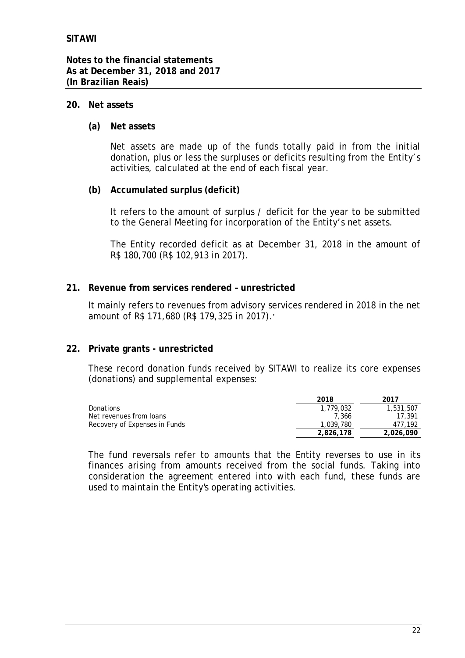#### **20. Net assets**

**(a) Net assets**

Net assets are made up of the funds totally paid in from the initial donation, plus or less the surpluses or deficits resulting from the Entity's activities, calculated at the end of each fiscal year.

**(b) Accumulated surplus (deficit)**

It refers to the amount of surplus / deficit for the year to be submitted to the General Meeting for incorporation of the Entity's net assets.

The Entity recorded deficit as at December 31, 2018 in the amount of R\$ 180,700 (R\$ 102,913 in 2017).

**21. Revenue from services rendered – unrestricted**

It mainly refers to revenues from advisory services rendered in 2018 in the net amount of R\$ 171,680 (R\$ 179,325 in 2017).'

**22. Private grants - unrestricted**

These record donation funds received by SITAWI to realize its core expenses (donations) and supplemental expenses:

|                               | 2018      | 2017      |
|-------------------------------|-----------|-----------|
| Donations                     | 1,779,032 | 1,531,507 |
| Net revenues from Ioans       | 7.366     | 17.391    |
| Recovery of Expenses in Funds | 1.039.780 | 477.192   |
|                               | 2,826,178 | 2,026,090 |

The fund reversals refer to amounts that the Entity reverses to use in its finances arising from amounts received from the social funds. Taking into consideration the agreement entered into with each fund, these funds are used to maintain the Entity's operating activities.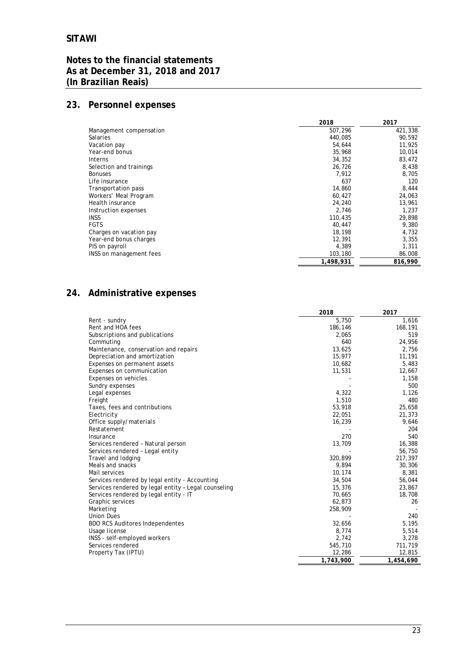# **23. Personnel expenses**

|                         | 2018      | 2017    |
|-------------------------|-----------|---------|
| Management compensation | 507,296   | 421,338 |
| <b>Salaries</b>         | 440.085   | 90.592  |
| Vacation pay            | 54.644    | 11,925  |
| Year-end bonus          | 35,968    | 10,014  |
| <b>Interns</b>          | 34,352    | 83,472  |
| Selection and trainings | 26,726    | 8,438   |
| <b>Bonuses</b>          | 7.912     | 8,705   |
| Life insurance          | 637       | 120     |
| Transportation pass     | 14,860    | 8,444   |
| Workers' Meal Program   | 60,427    | 24,063  |
| Health insurance        | 24,240    | 13,961  |
| Instruction expenses    | 2,746     | 1,237   |
| <b>INSS</b>             | 110,435   | 29,898  |
| <b>FGTS</b>             | 40,447    | 9,380   |
| Charges on vacation pay | 18,198    | 4,732   |
| Year-end bonus charges  | 12,391    | 3,355   |
| PIS on payroll          | 4,389     | 1,311   |
| INSS on management fees | 103,180   | 86,008  |
|                         | 1.498.931 | 816,990 |

# **24. Administrative expenses**

|                                                      | 2018      | 2017      |
|------------------------------------------------------|-----------|-----------|
| Rent - sundry                                        | 5,750     | 1,616     |
| Rent and HOA fees                                    | 186,146   | 168,191   |
| Subscriptions and publications                       | 2,065     | 519       |
| Commuting                                            | 640       | 24,956    |
| Maintenance, conservation and repairs                | 13,625    | 2,756     |
| Depreciation and amortization                        | 15,977    | 11,191    |
| Expenses on permanent assets                         | 10,682    | 5,483     |
| Expenses on communication                            | 11,531    | 12,667    |
| Expenses on vehicles                                 |           | 1,158     |
| Sundry expenses                                      |           | 500       |
| Legal expenses                                       | 4,322     | 1,126     |
| Freight                                              | 1,510     | 480       |
| Taxes, fees and contributions                        | 53,918    | 25,658    |
| Electricity                                          | 22,051    | 21,373    |
| Office supply/materials                              | 16,239    | 9,646     |
| Restatement                                          |           | 204       |
| Insurance                                            | 270       | 540       |
| Services rendered - Natural person                   | 13,709    | 16,388    |
| Services rendered - Legal entity                     |           | 56,750    |
| Travel and lodging                                   | 320,899   | 217,397   |
| Meals and snacks                                     | 9,894     | 30,306    |
| Mail services                                        | 10,174    | 8,381     |
| Services rendered by legal entity - Accounting       | 34,504    | 56,044    |
| Services rendered by legal entity - Legal counseling | 15,376    | 23,867    |
| Services rendered by legal entity - IT               | 70,665    | 18,708    |
| Graphic services                                     | 62,873    | 26        |
| Marketing                                            | 258,909   |           |
| <b>Union Dues</b>                                    |           | 240       |
| <b>BDO RCS Auditores Independentes</b>               | 32,656    | 5,195     |
| Usage license                                        | 8,774     | 5,514     |
| INSS - self-employed workers                         | 2,742     | 3,278     |
| Services rendered                                    | 545,710   | 711,719   |
| Property Tax (IPTU)                                  | 12,286    | 12,815    |
|                                                      | 1,743,900 | 1,454,690 |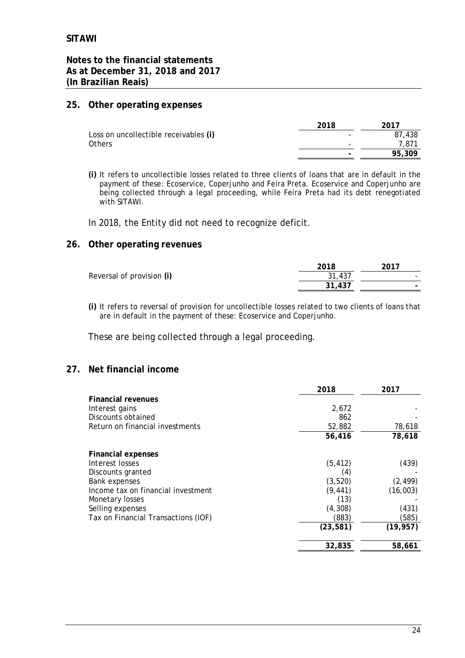**Notes to the financial statements As at December 31, 2018 and 2017 (In Brazilian Reais)**

#### **25. Other operating expenses**

|                                       | 2018 | 2017   |
|---------------------------------------|------|--------|
| Loss on uncollectible receivables (i) |      | 87.438 |
| Others                                | -    | 7.871  |
|                                       |      | 95,309 |
|                                       |      |        |

**(i)** It refers to uncollectible losses related to three clients of loans that are in default in the payment of these: Ecoservice, Coperjunho and Feira Preta. Ecoservice and Coperjunho are being collected through a legal proceeding, while Feira Preta had its debt renegotiated with SITAWI.

In 2018, the Entity did not need to recognize deficit.

#### **26. Other operating revenues**

|                           | 2018   | 2017 |
|---------------------------|--------|------|
| Reversal of provision (i) | 31,437 |      |
|                           | 31,437 | -    |

**(i)** It refers to reversal of provision for uncollectible losses related to two clients of loans that are in default in the payment of these: Ecoservice and Coperjunho.

These are being collected through a legal proceeding.

#### **27. Net financial income**

|                                     | 2018      | 2017      |
|-------------------------------------|-----------|-----------|
| Financial revenues                  |           |           |
| Interest gains                      | 2,672     |           |
| Discounts obtained                  | 862       |           |
| Return on financial investments     | 52,882    | 78,618    |
|                                     | 56,416    | 78,618    |
| Financial expenses                  |           |           |
| Interest losses                     | (5, 412)  | (439)     |
| Discounts granted                   | (4)       |           |
| <b>Bank expenses</b>                | (3, 520)  | (2, 499)  |
| Income tax on financial investment  | (9, 441)  | (16,003)  |
| Monetary losses                     | (13)      |           |
| Selling expenses                    | (4, 308)  | (431)     |
| Tax on Financial Transactions (IOF) | (883)     | (585)     |
|                                     | (23, 581) | (19, 957) |
|                                     | 32,835    | 58,661    |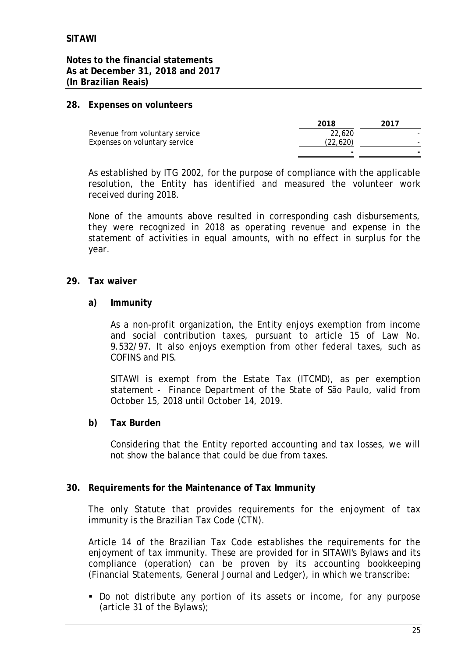**Notes to the financial statements As at December 31, 2018 and 2017 (In Brazilian Reais)**

#### **28. Expenses on volunteers**

|                                | 2018     | 2017 |
|--------------------------------|----------|------|
| Revenue from voluntary service | 22.620   |      |
| Expenses on voluntary service  | (22,620) |      |
|                                |          |      |

As established by ITG 2002, for the purpose of compliance with the applicable resolution, the Entity has identified and measured the volunteer work received during 2018.

None of the amounts above resulted in corresponding cash disbursements, they were recognized in 2018 as operating revenue and expense in the statement of activities in equal amounts, with no effect in surplus for the year.

- **29. Tax waiver**
	- **a) Immunity**

As a non-profit organization, the Entity enjoys exemption from income and social contribution taxes, pursuant to article 15 of Law No. 9.532/97. It also enjoys exemption from other federal taxes, such as COFINS and PIS.

SITAWI is exempt from the Estate Tax (ITCMD), as per exemption statement - Finance Department of the State of São Paulo, valid from October 15, 2018 until October 14, 2019.

**b) Tax Burden**

Considering that the Entity reported accounting and tax losses, we will not show the balance that could be due from taxes.

**30. Requirements for the Maintenance of Tax Immunity**

The only Statute that provides requirements for the enjoyment of tax immunity is the Brazilian Tax Code (CTN).

Article 14 of the Brazilian Tax Code establishes the requirements for the enjoyment of tax immunity. These are provided for in SITAWI's Bylaws and its compliance (operation) can be proven by its accounting bookkeeping (Financial Statements, General Journal and Ledger), in which we transcribe:

■ Do not distribute any portion of its assets or income, for any purpose (article 31 of the Bylaws);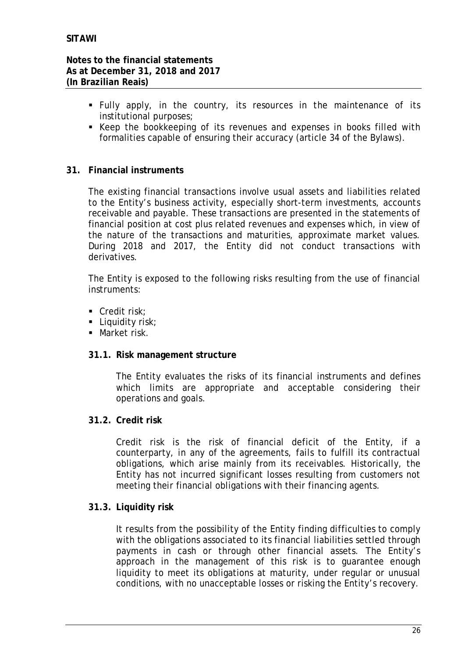- § Fully apply, in the country, its resources in the maintenance of its institutional purposes;
- Keep the bookkeeping of its revenues and expenses in books filled with formalities capable of ensuring their accuracy (article 34 of the Bylaws).
- **31. Financial instruments**

The existing financial transactions involve usual assets and liabilities related to the Entity's business activity, especially short-term investments, accounts receivable and payable. These transactions are presented in the statements of financial position at cost plus related revenues and expenses which, in view of the nature of the transactions and maturities, approximate market values. During 2018 and 2017, the Entity did not conduct transactions with derivatives.

The Entity is exposed to the following risks resulting from the use of financial instruments:

- Credit risk:
- Liquidity risk:
- Market risk.
- **31.1. Risk management structure**

The Entity evaluates the risks of its financial instruments and defines which limits are appropriate and acceptable considering their operations and goals.

**31.2. Credit risk**

Credit risk is the risk of financial deficit of the Entity, if a counterparty, in any of the agreements, fails to fulfill its contractual obligations, which arise mainly from its receivables. Historically, the Entity has not incurred significant losses resulting from customers not meeting their financial obligations with their financing agents.

**31.3. Liquidity risk**

It results from the possibility of the Entity finding difficulties to comply with the obligations associated to its financial liabilities settled through payments in cash or through other financial assets. The Entity's approach in the management of this risk is to guarantee enough liquidity to meet its obligations at maturity, under regular or unusual conditions, with no unacceptable losses or risking the Entity's recovery.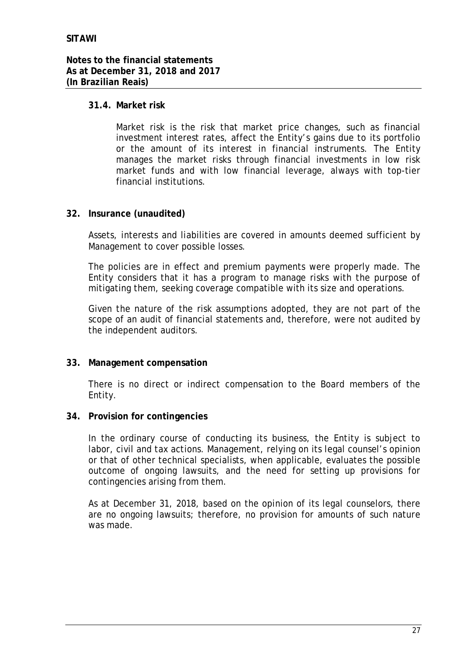## **31.4. Market risk**

Market risk is the risk that market price changes, such as financial investment interest rates, affect the Entity's gains due to its portfolio or the amount of its interest in financial instruments. The Entity manages the market risks through financial investments in low risk market funds and with low financial leverage, always with top-tier financial institutions.

#### **32. Insurance (unaudited)**

Assets, interests and liabilities are covered in amounts deemed sufficient by Management to cover possible losses.

The policies are in effect and premium payments were properly made. The Entity considers that it has a program to manage risks with the purpose of mitigating them, seeking coverage compatible with its size and operations.

Given the nature of the risk assumptions adopted, they are not part of the scope of an audit of financial statements and, therefore, were not audited by the independent auditors.

**33. Management compensation**

There is no direct or indirect compensation to the Board members of the Entity.

**34. Provision for contingencies**

In the ordinary course of conducting its business, the Entity is subject to labor, civil and tax actions. Management, relying on its legal counsel's opinion or that of other technical specialists, when applicable, evaluates the possible outcome of ongoing lawsuits, and the need for setting up provisions for contingencies arising from them.

As at December 31, 2018, based on the opinion of its legal counselors, there are no ongoing lawsuits; therefore, no provision for amounts of such nature was made.